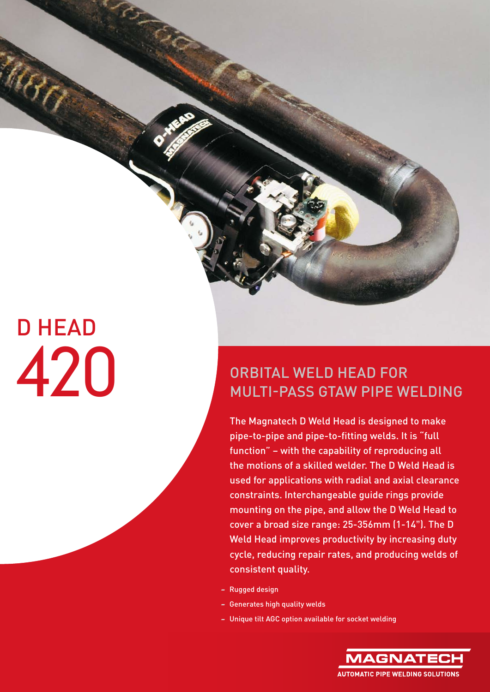# D HEAD

**BAB** 

### ORBITAL WELD HEAD FOR MULTI-PASS GTAW PIPE WELDING

The Magnatech D Weld Head is designed to make pipe-to-pipe and pipe-to-fitting welds. It is "full function" – with the capability of reproducing all the motions of a skilled welder. The D Weld Head is used for applications with radial and axial clearance constraints. Interchangeable guide rings provide mounting on the pipe, and allow the D Weld Head to cover a broad size range: 25-356mm (1-14"). The D Weld Head improves productivity by increasing duty cycle, reducing repair rates, and producing welds of consistent quality.

- Rugged design
- Generates high quality welds
- Unique tilt AGC option available for socket welding

**MAGNATE AUTOMATIC PIPE WELDING SOLUTIONS**